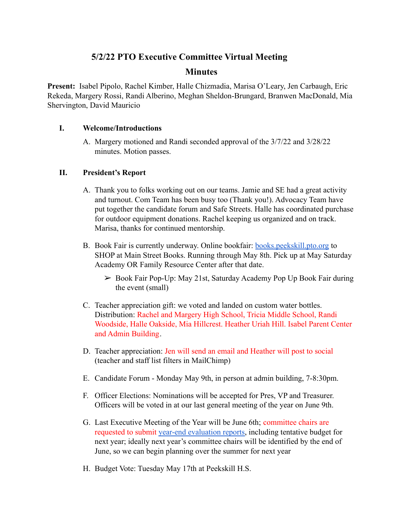# **5/2/22 PTO Executive Committee Virtual Meeting**

# **Minutes**

**Present:** Isabel Pipolo, Rachel Kimber, Halle Chizmadia, Marisa O'Leary, Jen Carbaugh, Eric Rekeda, Margery Rossi, Randi Alberino, Meghan Sheldon-Brungard, Branwen MacDonald, Mia Shervington, David Mauricio

## **I. Welcome/Introductions**

A. Margery motioned and Randi seconded approval of the 3/7/22 and 3/28/22 minutes. Motion passes.

## **II. President's Report**

- A. Thank you to folks working out on our teams. Jamie and SE had a great activity and turnout. Com Team has been busy too (Thank you!). Advocacy Team have put together the candidate forum and Safe Streets. Halle has coordinated purchase for outdoor equipment donations. Rachel keeping us organized and on track. Marisa, thanks for continued mentorship.
- B. Book Fair is currently underway. Online bookfair: **[books.peekskill.pto.org](http://books.peekskill.pto.org)** to SHOP at Main Street Books. Running through May 8th. Pick up at May Saturday Academy OR Family Resource Center after that date.
	- ➢ Book Fair Pop-Up: May 21st, Saturday Academy Pop Up Book Fair during the event (small)
- C. Teacher appreciation gift: we voted and landed on custom water bottles. Distribution: Rachel and Margery High School, Tricia Middle School, Randi Woodside, Halle Oakside, Mia Hillcrest. Heather Uriah Hill. Isabel Parent Center and Admin Building.
- D. Teacher appreciation: Jen will send an email and Heather will post to social (teacher and staff list filters in MailChimp)
- E. Candidate Forum Monday May 9th, in person at admin building, 7-8:30pm.
- F. Officer Elections: Nominations will be accepted for Pres, VP and Treasurer. Officers will be voted in at our last general meeting of the year on June 9th.
- G. Last Executive Meeting of the Year will be June 6th; committee chairs are requested to submit [year-end evaluation reports](https://docs.google.com/document/d/1S4wwacyNgyWrYEn1ezWJ1ElOnxmIHXOya5zd2Mu39EU/edit?usp=sharing), including tentative budget for next year; ideally next year's committee chairs will be identified by the end of June, so we can begin planning over the summer for next year
- H. Budget Vote: Tuesday May 17th at Peekskill H.S.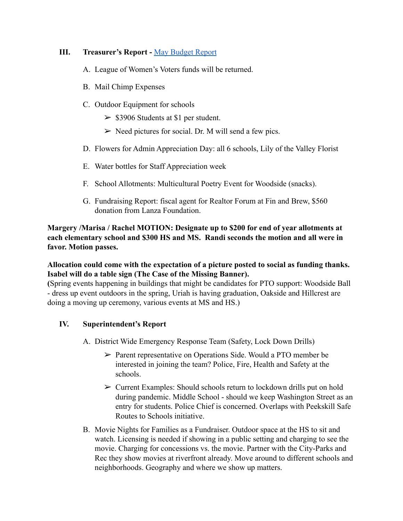## **III. Treasurer's Report -** [May Budget Report](https://drive.google.com/file/d/1iVTM7gvJm0H-q_Kmfh9XdJrmehLQDSYp/view?usp=sharing)

- A. League of Women's Voters funds will be returned.
- B. Mail Chimp Expenses
- C. Outdoor Equipment for schools
	- $>$  \$3906 Students at \$1 per student.
	- $\triangleright$  Need pictures for social. Dr. M will send a few pics.
- D. Flowers for Admin Appreciation Day: all 6 schools, Lily of the Valley Florist
- E. Water bottles for Staff Appreciation week
- F. School Allotments: Multicultural Poetry Event for Woodside (snacks).
- G. Fundraising Report: fiscal agent for Realtor Forum at Fin and Brew, \$560 donation from Lanza Foundation.

## **Margery /Marisa / Rachel MOTION: Designate up to \$200 for end of year allotments at each elementary school and \$300 HS and MS. Randi seconds the motion and all were in favor. Motion passes.**

# **Allocation could come with the expectation of a picture posted to social as funding thanks. Isabel will do a table sign (The Case of the Missing Banner).**

**(**Spring events happening in buildings that might be candidates for PTO support: Woodside Ball - dress up event outdoors in the spring, Uriah is having graduation, Oakside and Hillcrest are doing a moving up ceremony, various events at MS and HS.)

# **IV. Superintendent's Report**

- A. District Wide Emergency Response Team (Safety, Lock Down Drills)
	- ➢ Parent representative on Operations Side. Would a PTO member be interested in joining the team? Police, Fire, Health and Safety at the schools.
	- $\triangleright$  Current Examples: Should schools return to lockdown drills put on hold during pandemic. Middle School - should we keep Washington Street as an entry for students. Police Chief is concerned. Overlaps with Peekskill Safe Routes to Schools initiative.
- B. Movie Nights for Families as a Fundraiser. Outdoor space at the HS to sit and watch. Licensing is needed if showing in a public setting and charging to see the movie. Charging for concessions vs. the movie. Partner with the City-Parks and Rec they show movies at riverfront already. Move around to different schools and neighborhoods. Geography and where we show up matters.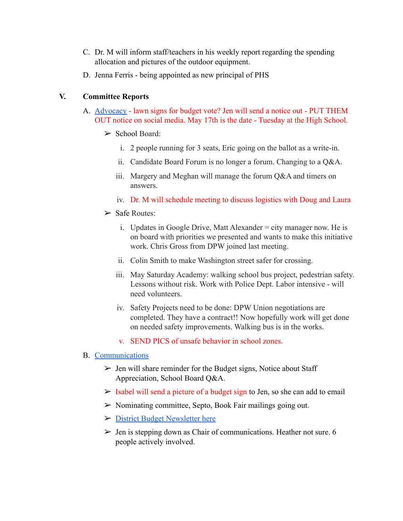- C. Dr. M will inform staff/teachers in his weekly report regarding the spending allocation and pictures of the outdoor equipment.
- D. Jenna Ferris being appointed as new principal of PHS

## **V. Committee Reports**

- A. [Advocacy](https://docs.google.com/document/d/1Vhw3A9XScQr1hwUuVyZvEWkhpTUdTL_kGvHYloBKy4c/edit?usp=sharing) lawn signs for budget vote? Jen will send a notice out PUT THEM OUT notice on social media. May 17th is the date - Tuesday at the High School.
	- $\triangleright$  School Board:
		- i. 2 people running for 3 seats, Eric going on the ballot as a write-in.
		- ii. Candidate Board Forum is no longer a forum. Changing to a Q&A.
		- iii. Margery and Meghan will manage the forum Q&A and timers on answers.
		- iv. Dr. M will schedule meeting to discuss logistics with Doug and Laura
	- $\triangleright$  Safe Routes:
		- i. Updates in Google Drive, Matt Alexander = city manager now. He is on board with priorities we presented and wants to make this initiative work. Chris Gross from DPW joined last meeting.
		- ii. Colin Smith to make Washington street safer for crossing.
		- iii. May Saturday Academy: walking school bus project, pedestrian safety. Lessons without risk. Work with Police Dept. Labor intensive - will need volunteers.
		- iv. Safety Projects need to be done: DPW Union negotiations are completed. They have a contract!! Now hopefully work will get done on needed safety improvements. Walking bus is in the works.
		- v. SEND PICS of unsafe behavior in school zones.

### B. [Communications](https://docs.google.com/document/d/1M7nWuK7WTejnF7-prExEP5SI0i01Dw-ovU8Nbduu1Io/edit?usp=sharing)

- $\triangleright$  Jen will share reminder for the Budget signs, Notice about Staff Appreciation, School Board Q&A.
- $>$  Isabel will send a picture of a budget sign to Jen, so she can add to email
- $\triangleright$  Nominating committee, Septo, Book Fair mailings going out.
- ➢ [District Budget Newsletter here](https://www.peekskillcsd.org/cms/lib/NY01913880/Centricity/Domain/1446/2022%20Budget%20Newsletter_proof.pdf)
- $\triangleright$  Jen is stepping down as Chair of communications. Heather not sure, 6 people actively involved.